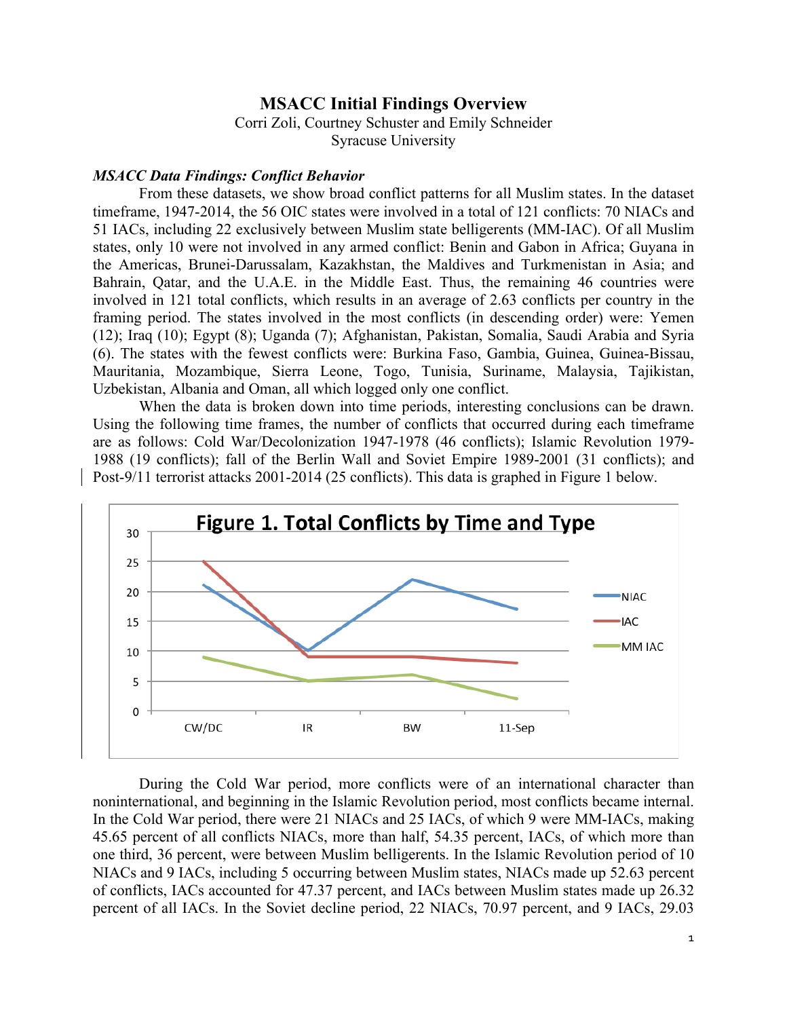## **MSACC Initial Findings Overview**

Corri Zoli, Courtney Schuster and Emily Schneider Syracuse University

## *MSACC Data Findings: Conflict Behavior*

From these datasets, we show broad conflict patterns for all Muslim states. In the dataset timeframe, 1947-2014, the 56 OIC states were involved in a total of 121 conflicts: 70 NIACs and 51 IACs, including 22 exclusively between Muslim state belligerents (MM-IAC). Of all Muslim states, only 10 were not involved in any armed conflict: Benin and Gabon in Africa; Guyana in the Americas, Brunei-Darussalam, Kazakhstan, the Maldives and Turkmenistan in Asia; and Bahrain, Qatar, and the U.A.E. in the Middle East. Thus, the remaining 46 countries were involved in 121 total conflicts, which results in an average of 2.63 conflicts per country in the framing period. The states involved in the most conflicts (in descending order) were: Yemen (12); Iraq (10); Egypt (8); Uganda (7); Afghanistan, Pakistan, Somalia, Saudi Arabia and Syria (6). The states with the fewest conflicts were: Burkina Faso, Gambia, Guinea, Guinea-Bissau, Mauritania, Mozambique, Sierra Leone, Togo, Tunisia, Suriname, Malaysia, Tajikistan, Uzbekistan, Albania and Oman, all which logged only one conflict.

When the data is broken down into time periods, interesting conclusions can be drawn. Using the following time frames, the number of conflicts that occurred during each timeframe are as follows: Cold War/Decolonization 1947-1978 (46 conflicts); Islamic Revolution 1979- 1988 (19 conflicts); fall of the Berlin Wall and Soviet Empire 1989-2001 (31 conflicts); and Post-9/11 terrorist attacks 2001-2014 (25 conflicts). This data is graphed in Figure 1 below.



During the Cold War period, more conflicts were of an international character than noninternational, and beginning in the Islamic Revolution period, most conflicts became internal. In the Cold War period, there were 21 NIACs and 25 IACs, of which 9 were MM-IACs, making 45.65 percent of all conflicts NIACs, more than half, 54.35 percent, IACs, of which more than one third, 36 percent, were between Muslim belligerents. In the Islamic Revolution period of 10 NIACs and 9 IACs, including 5 occurring between Muslim states, NIACs made up 52.63 percent of conflicts, IACs accounted for 47.37 percent, and IACs between Muslim states made up 26.32 percent of all IACs. In the Soviet decline period, 22 NIACs, 70.97 percent, and 9 IACs, 29.03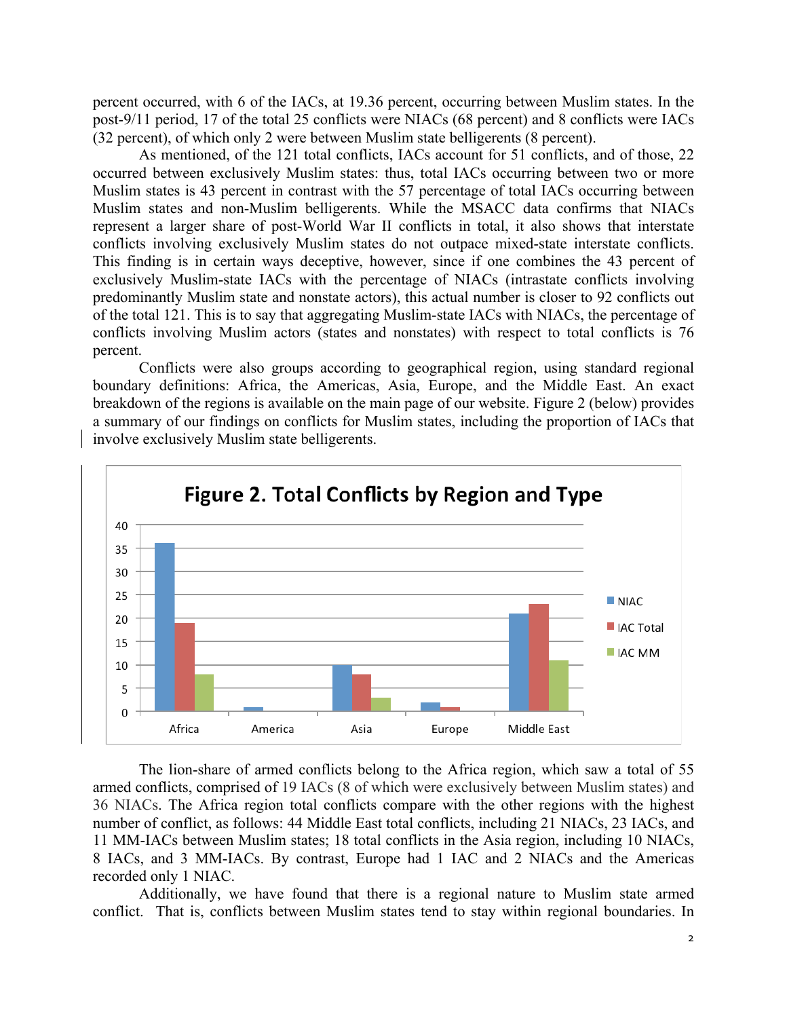percent occurred, with 6 of the IACs, at 19.36 percent, occurring between Muslim states. In the post-9/11 period, 17 of the total 25 conflicts were NIACs (68 percent) and 8 conflicts were IACs (32 percent), of which only 2 were between Muslim state belligerents (8 percent).

As mentioned, of the 121 total conflicts, IACs account for 51 conflicts, and of those, 22 occurred between exclusively Muslim states: thus, total IACs occurring between two or more Muslim states is 43 percent in contrast with the 57 percentage of total IACs occurring between Muslim states and non-Muslim belligerents. While the MSACC data confirms that NIACs represent a larger share of post-World War II conflicts in total, it also shows that interstate conflicts involving exclusively Muslim states do not outpace mixed-state interstate conflicts. This finding is in certain ways deceptive, however, since if one combines the 43 percent of exclusively Muslim-state IACs with the percentage of NIACs (intrastate conflicts involving predominantly Muslim state and nonstate actors), this actual number is closer to 92 conflicts out of the total 121. This is to say that aggregating Muslim-state IACs with NIACs, the percentage of conflicts involving Muslim actors (states and nonstates) with respect to total conflicts is 76 percent.

Conflicts were also groups according to geographical region, using standard regional boundary definitions: Africa, the Americas, Asia, Europe, and the Middle East. An exact breakdown of the regions is available on the main page of our website. Figure 2 (below) provides a summary of our findings on conflicts for Muslim states, including the proportion of IACs that involve exclusively Muslim state belligerents.



The lion-share of armed conflicts belong to the Africa region, which saw a total of 55 armed conflicts, comprised of 19 IACs (8 of which were exclusively between Muslim states) and 36 NIACs. The Africa region total conflicts compare with the other regions with the highest number of conflict, as follows: 44 Middle East total conflicts, including 21 NIACs, 23 IACs, and 11 MM-IACs between Muslim states; 18 total conflicts in the Asia region, including 10 NIACs, 8 IACs, and 3 MM-IACs. By contrast, Europe had 1 IAC and 2 NIACs and the Americas recorded only 1 NIAC.

Additionally, we have found that there is a regional nature to Muslim state armed conflict. That is, conflicts between Muslim states tend to stay within regional boundaries. In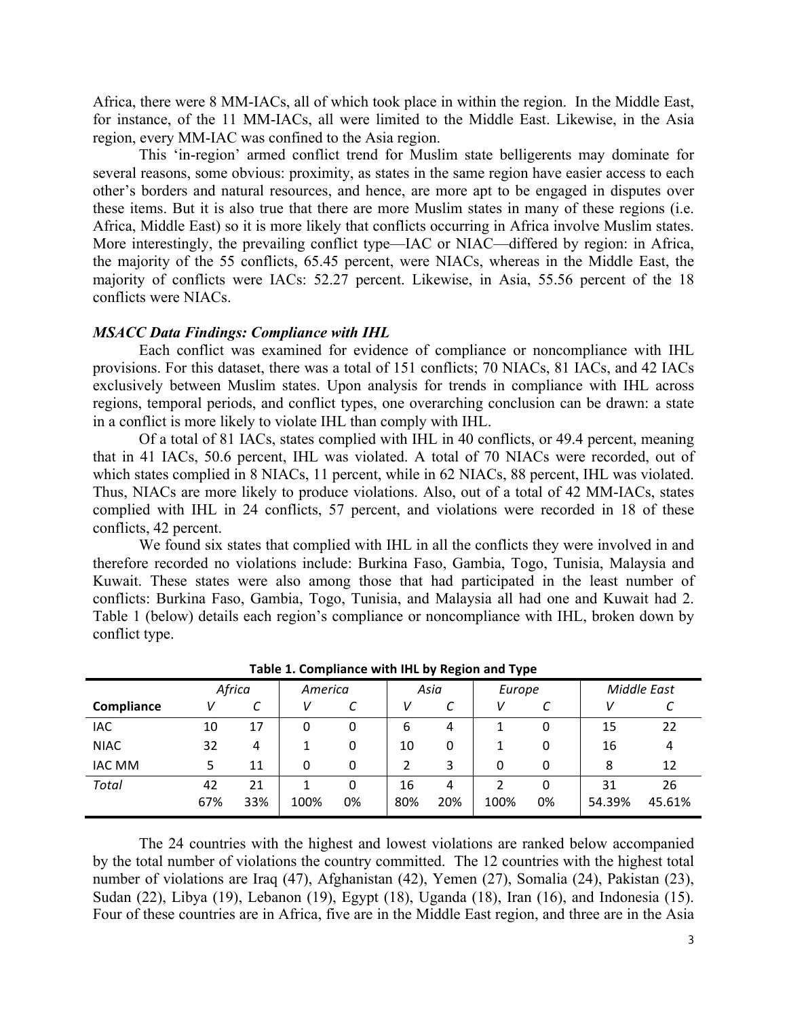Africa, there were 8 MM-IACs, all of which took place in within the region. In the Middle East, for instance, of the 11 MM-IACs, all were limited to the Middle East. Likewise, in the Asia region, every MM-IAC was confined to the Asia region.

This 'in-region' armed conflict trend for Muslim state belligerents may dominate for several reasons, some obvious: proximity, as states in the same region have easier access to each other's borders and natural resources, and hence, are more apt to be engaged in disputes over these items. But it is also true that there are more Muslim states in many of these regions (i.e. Africa, Middle East) so it is more likely that conflicts occurring in Africa involve Muslim states. More interestingly, the prevailing conflict type—IAC or NIAC—differed by region: in Africa, the majority of the 55 conflicts, 65.45 percent, were NIACs, whereas in the Middle East, the majority of conflicts were IACs: 52.27 percent. Likewise, in Asia, 55.56 percent of the 18 conflicts were NIACs.

## *MSACC Data Findings: Compliance with IHL*

Each conflict was examined for evidence of compliance or noncompliance with IHL provisions. For this dataset, there was a total of 151 conflicts; 70 NIACs, 81 IACs, and 42 IACs exclusively between Muslim states. Upon analysis for trends in compliance with IHL across regions, temporal periods, and conflict types, one overarching conclusion can be drawn: a state in a conflict is more likely to violate IHL than comply with IHL.

Of a total of 81 IACs, states complied with IHL in 40 conflicts, or 49.4 percent, meaning that in 41 IACs, 50.6 percent, IHL was violated. A total of 70 NIACs were recorded, out of which states complied in 8 NIACs, 11 percent, while in 62 NIACs, 88 percent, IHL was violated. Thus, NIACs are more likely to produce violations. Also, out of a total of 42 MM-IACs, states complied with IHL in 24 conflicts, 57 percent, and violations were recorded in 18 of these conflicts, 42 percent.

We found six states that complied with IHL in all the conflicts they were involved in and therefore recorded no violations include: Burkina Faso, Gambia, Togo, Tunisia, Malaysia and Kuwait. These states were also among those that had participated in the least number of conflicts: Burkina Faso, Gambia, Togo, Tunisia, and Malaysia all had one and Kuwait had 2. Table 1 (below) details each region's compliance or noncompliance with IHL, broken down by conflict type.

|               |        |     |         |    |      | . . | . .    |    |             |        |
|---------------|--------|-----|---------|----|------|-----|--------|----|-------------|--------|
|               | Africa |     | America |    | Asia |     | Europe |    | Middle East |        |
| Compliance    |        | J   | v       |    | v    | C   | V      |    | v           |        |
| <b>IAC</b>    | 10     | 17  | 0       | 0  | 6    | 4   |        |    | 15          | 22     |
| <b>NIAC</b>   | 32     | 4   |         | 0  | 10   | 0   |        | 0  | 16          | 4      |
| <b>IAC MM</b> |        | 11  | 0       | 0  |      | 3   | 0      |    | 8           | 12     |
| Total         | 42     | 21  |         | 0  | 16   | 4   | 2      |    | 31          | 26     |
|               | 67%    | 33% | 100%    | 0% | 80%  | 20% | 100%   | 0% | 54.39%      | 45.61% |

**Table 1. Compliance with IHL by Region and Type** 

The 24 countries with the highest and lowest violations are ranked below accompanied by the total number of violations the country committed. The 12 countries with the highest total number of violations are Iraq (47), Afghanistan (42), Yemen (27), Somalia (24), Pakistan (23), Sudan (22), Libya (19), Lebanon (19), Egypt (18), Uganda (18), Iran (16), and Indonesia (15). Four of these countries are in Africa, five are in the Middle East region, and three are in the Asia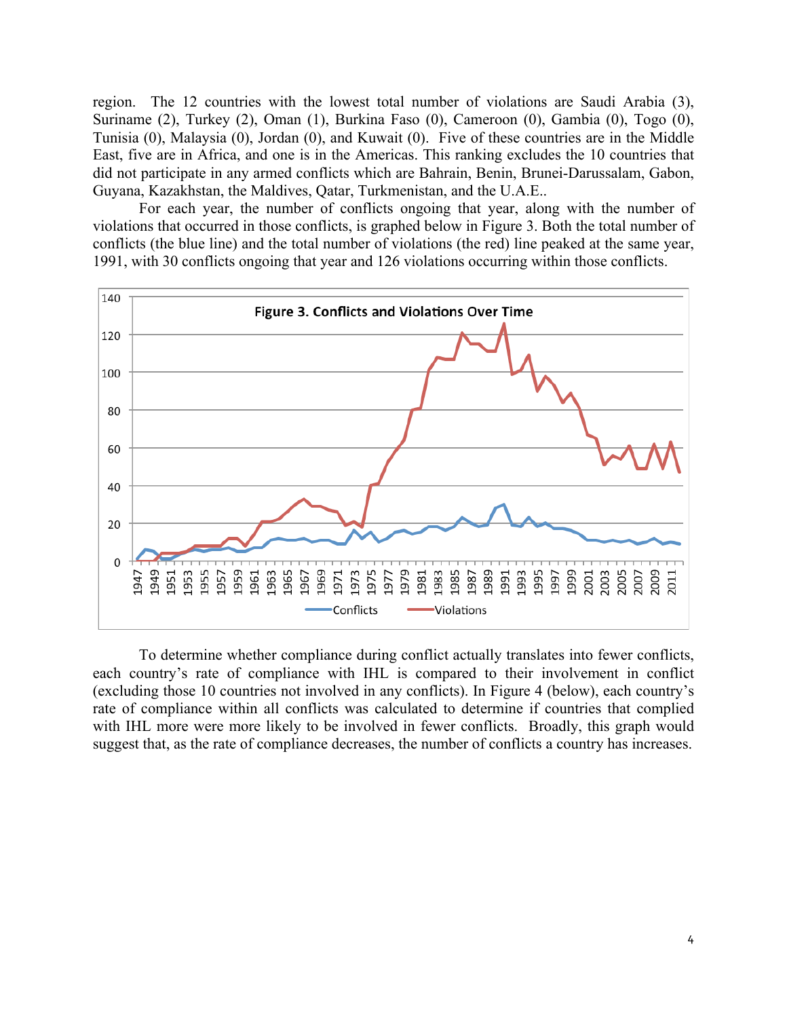region. The 12 countries with the lowest total number of violations are Saudi Arabia (3), Suriname (2), Turkey (2), Oman (1), Burkina Faso (0), Cameroon (0), Gambia (0), Togo (0), Tunisia (0), Malaysia (0), Jordan (0), and Kuwait (0). Five of these countries are in the Middle East, five are in Africa, and one is in the Americas. This ranking excludes the 10 countries that did not participate in any armed conflicts which are Bahrain, Benin, Brunei-Darussalam, Gabon, Guyana, Kazakhstan, the Maldives, Qatar, Turkmenistan, and the U.A.E..

For each year, the number of conflicts ongoing that year, along with the number of violations that occurred in those conflicts, is graphed below in Figure 3. Both the total number of conflicts (the blue line) and the total number of violations (the red) line peaked at the same year, 1991, with 30 conflicts ongoing that year and 126 violations occurring within those conflicts.



To determine whether compliance during conflict actually translates into fewer conflicts, each country's rate of compliance with IHL is compared to their involvement in conflict (excluding those 10 countries not involved in any conflicts). In Figure 4 (below), each country's rate of compliance within all conflicts was calculated to determine if countries that complied with IHL more were more likely to be involved in fewer conflicts. Broadly, this graph would suggest that, as the rate of compliance decreases, the number of conflicts a country has increases.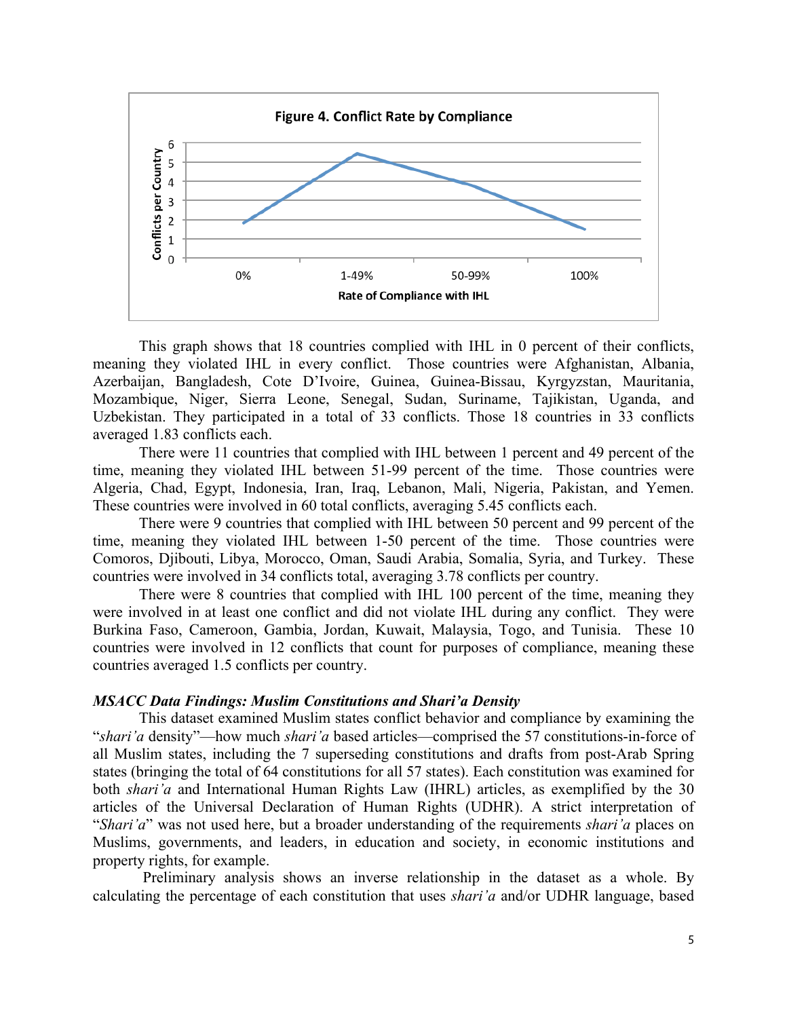

This graph shows that 18 countries complied with IHL in 0 percent of their conflicts, meaning they violated IHL in every conflict. Those countries were Afghanistan, Albania, Azerbaijan, Bangladesh, Cote D'Ivoire, Guinea, Guinea-Bissau, Kyrgyzstan, Mauritania, Mozambique, Niger, Sierra Leone, Senegal, Sudan, Suriname, Tajikistan, Uganda, and Uzbekistan. They participated in a total of 33 conflicts. Those 18 countries in 33 conflicts averaged 1.83 conflicts each.

There were 11 countries that complied with IHL between 1 percent and 49 percent of the time, meaning they violated IHL between 51-99 percent of the time. Those countries were Algeria, Chad, Egypt, Indonesia, Iran, Iraq, Lebanon, Mali, Nigeria, Pakistan, and Yemen. These countries were involved in 60 total conflicts, averaging 5.45 conflicts each.

There were 9 countries that complied with IHL between 50 percent and 99 percent of the time, meaning they violated IHL between 1-50 percent of the time. Those countries were Comoros, Djibouti, Libya, Morocco, Oman, Saudi Arabia, Somalia, Syria, and Turkey. These countries were involved in 34 conflicts total, averaging 3.78 conflicts per country.

There were 8 countries that complied with IHL 100 percent of the time, meaning they were involved in at least one conflict and did not violate IHL during any conflict. They were Burkina Faso, Cameroon, Gambia, Jordan, Kuwait, Malaysia, Togo, and Tunisia. These 10 countries were involved in 12 conflicts that count for purposes of compliance, meaning these countries averaged 1.5 conflicts per country.

## *MSACC Data Findings: Muslim Constitutions and Shari'a Density*

This dataset examined Muslim states conflict behavior and compliance by examining the "*shari'a* density"—how much *shari'a* based articles—comprised the 57 constitutions-in-force of all Muslim states, including the 7 superseding constitutions and drafts from post-Arab Spring states (bringing the total of 64 constitutions for all 57 states). Each constitution was examined for both *shari'a* and International Human Rights Law (IHRL) articles, as exemplified by the 30 articles of the Universal Declaration of Human Rights (UDHR). A strict interpretation of "*Shari'a*" was not used here, but a broader understanding of the requirements *shari'a* places on Muslims, governments, and leaders, in education and society, in economic institutions and property rights, for example.

Preliminary analysis shows an inverse relationship in the dataset as a whole. By calculating the percentage of each constitution that uses *shari'a* and/or UDHR language, based